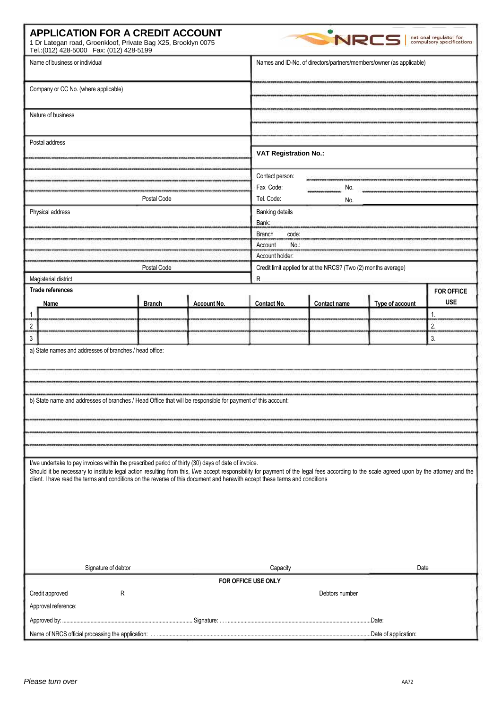| <b>APPLICATION FOR A CREDIT ACCOUNT</b><br>1 Dr Lategan road, Groenkloof, Private Bag X25, Brooklyn 0075<br>Tel.: (012) 428-5000  Fax: (012) 428-5199                                                                                                                                                                                                                                                                                                                                                                                          |                                        |             |                                                                      | <b>NRCS</b>                                                    |                 | national regulator for<br>compulsory specifications |  |
|------------------------------------------------------------------------------------------------------------------------------------------------------------------------------------------------------------------------------------------------------------------------------------------------------------------------------------------------------------------------------------------------------------------------------------------------------------------------------------------------------------------------------------------------|----------------------------------------|-------------|----------------------------------------------------------------------|----------------------------------------------------------------|-----------------|-----------------------------------------------------|--|
| Name of business or individual                                                                                                                                                                                                                                                                                                                                                                                                                                                                                                                 |                                        |             | Names and ID-No. of directors/partners/members/owner (as applicable) |                                                                |                 |                                                     |  |
| Company or CC No. (where applicable)                                                                                                                                                                                                                                                                                                                                                                                                                                                                                                           |                                        |             |                                                                      |                                                                |                 |                                                     |  |
| Nature of business<br>Postal address                                                                                                                                                                                                                                                                                                                                                                                                                                                                                                           |                                        |             | <b>VAT Registration No.:</b>                                         |                                                                |                 |                                                     |  |
|                                                                                                                                                                                                                                                                                                                                                                                                                                                                                                                                                |                                        |             |                                                                      |                                                                |                 |                                                     |  |
|                                                                                                                                                                                                                                                                                                                                                                                                                                                                                                                                                |                                        |             | Contact person:                                                      |                                                                |                 |                                                     |  |
|                                                                                                                                                                                                                                                                                                                                                                                                                                                                                                                                                |                                        |             | Fax Code:                                                            | No.                                                            |                 |                                                     |  |
| Postal Code                                                                                                                                                                                                                                                                                                                                                                                                                                                                                                                                    |                                        |             | Tel. Code:                                                           | No.                                                            |                 |                                                     |  |
| Physical address                                                                                                                                                                                                                                                                                                                                                                                                                                                                                                                               |                                        |             | <b>Banking details</b>                                               | Bank:<br>Branch<br>code:                                       |                 |                                                     |  |
|                                                                                                                                                                                                                                                                                                                                                                                                                                                                                                                                                |                                        |             |                                                                      |                                                                |                 |                                                     |  |
|                                                                                                                                                                                                                                                                                                                                                                                                                                                                                                                                                |                                        |             | No.<br>Account                                                       |                                                                |                 |                                                     |  |
|                                                                                                                                                                                                                                                                                                                                                                                                                                                                                                                                                |                                        |             |                                                                      | Account holder:                                                |                 |                                                     |  |
| Postal Code                                                                                                                                                                                                                                                                                                                                                                                                                                                                                                                                    |                                        |             |                                                                      | Credit limit applied for at the NRCS? (Two (2) months average) |                 |                                                     |  |
| Magisterial district                                                                                                                                                                                                                                                                                                                                                                                                                                                                                                                           |                                        |             | R                                                                    |                                                                |                 |                                                     |  |
| <b>Trade references</b><br>Name                                                                                                                                                                                                                                                                                                                                                                                                                                                                                                                | <b>Branch</b>                          | Account No. | Contact No.                                                          | Contact name                                                   | Type of account | <b>FOR OFFICE</b><br><b>USE</b>                     |  |
|                                                                                                                                                                                                                                                                                                                                                                                                                                                                                                                                                |                                        |             |                                                                      |                                                                |                 | 1.                                                  |  |
| $\overline{c}$                                                                                                                                                                                                                                                                                                                                                                                                                                                                                                                                 |                                        |             |                                                                      |                                                                |                 | 2.                                                  |  |
| $\overline{3}$                                                                                                                                                                                                                                                                                                                                                                                                                                                                                                                                 |                                        |             |                                                                      |                                                                |                 | 3.                                                  |  |
| b) State name and addresses of branches / Head Office that will be responsible for payment of this account:<br>I/we undertake to pay invoices within the prescribed period of thirty (30) days of date of invoice.<br>Should it be necessary to institute legal action resulting from this, I/we accept responsibility for payment of the legal fees according to the scale agreed upon by the attorney and the<br>client. I have read the terms and conditions on the reverse of this document and herewith accept these terms and conditions |                                        |             |                                                                      |                                                                |                 |                                                     |  |
| Signature of debtor                                                                                                                                                                                                                                                                                                                                                                                                                                                                                                                            | Capacity<br><b>FOR OFFICE USE ONLY</b> | Date        |                                                                      |                                                                |                 |                                                     |  |
| Credit approved                                                                                                                                                                                                                                                                                                                                                                                                                                                                                                                                | ${\sf R}$                              |             |                                                                      | Debtors number                                                 |                 |                                                     |  |
|                                                                                                                                                                                                                                                                                                                                                                                                                                                                                                                                                |                                        |             |                                                                      |                                                                |                 |                                                     |  |
| Approval reference:                                                                                                                                                                                                                                                                                                                                                                                                                                                                                                                            |                                        |             |                                                                      |                                                                |                 |                                                     |  |
|                                                                                                                                                                                                                                                                                                                                                                                                                                                                                                                                                |                                        |             |                                                                      |                                                                |                 |                                                     |  |
|                                                                                                                                                                                                                                                                                                                                                                                                                                                                                                                                                |                                        |             |                                                                      |                                                                |                 |                                                     |  |